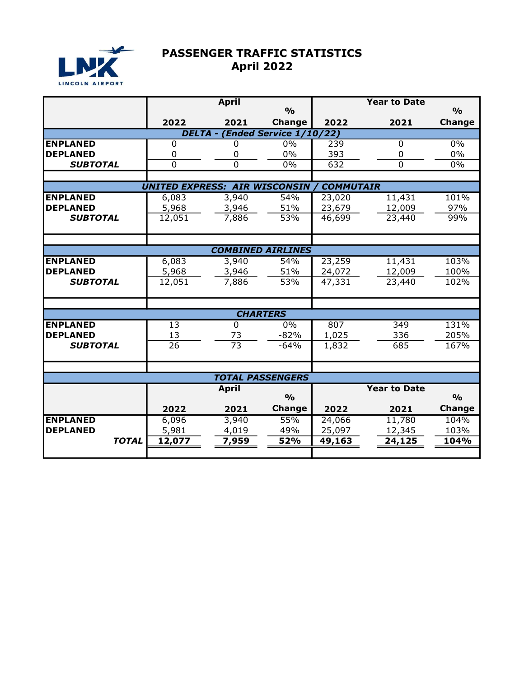

## PASSENGER TRAFFIC STATISTICS April 2022

|                                 |                                      | <b>April</b>     |               |        | <b>Year to Date</b> |               |  |  |  |  |
|---------------------------------|--------------------------------------|------------------|---------------|--------|---------------------|---------------|--|--|--|--|
|                                 |                                      |                  | $\frac{O}{O}$ |        |                     | $\frac{O}{O}$ |  |  |  |  |
|                                 | 2022                                 | 2021             | <b>Change</b> | 2022   | 2021                | <b>Change</b> |  |  |  |  |
| DELTA - (Ended Service 1/10/22) |                                      |                  |               |        |                     |               |  |  |  |  |
| <b>ENPLANED</b>                 | 0                                    | U                | 0%            | 239    | 0                   | 0%            |  |  |  |  |
| <b>DEPLANED</b>                 | $\mathbf 0$                          | 0                | $0\%$         | 393    | 0                   | 0%            |  |  |  |  |
| <b>SUBTOTAL</b>                 | $\overline{0}$                       | $\Omega$         | 0%            | 632    | 0                   | 0%            |  |  |  |  |
|                                 |                                      |                  |               |        |                     |               |  |  |  |  |
|                                 | <b>UNITED EXPRESS: AIR WISCONSIN</b> | <b>COMMUTAIR</b> |               |        |                     |               |  |  |  |  |
| <b>ENPLANED</b>                 | 6,083                                | 3,940            | 54%           | 23,020 | 11,431              | 101%          |  |  |  |  |
| <b>DEPLANED</b>                 | 5,968                                | 3,946            | 51%           | 23,679 | 12,009              | 97%           |  |  |  |  |
| <b>SUBTOTAL</b>                 | 12,051                               | 7,886            | 53%           | 46,699 | 23,440              | 99%           |  |  |  |  |
|                                 |                                      |                  |               |        |                     |               |  |  |  |  |
|                                 |                                      |                  |               |        |                     |               |  |  |  |  |
| <b>COMBINED AIRLINES</b>        |                                      |                  |               |        |                     |               |  |  |  |  |
| <b>ENPLANED</b>                 | 6,083                                | 3,940            | 54%           | 23,259 | 11,431              | 103%          |  |  |  |  |
| <b>DEPLANED</b>                 | 5,968                                | 3,946            | 51%           | 24,072 | 12,009              | 100%          |  |  |  |  |
| <b>SUBTOTAL</b>                 | 12,051                               | 7,886            | 53%           | 47,331 | 23,440              | 102%          |  |  |  |  |
|                                 |                                      |                  |               |        |                     |               |  |  |  |  |
|                                 |                                      |                  |               |        |                     |               |  |  |  |  |
|                                 |                                      |                  |               |        |                     |               |  |  |  |  |
| <b>ENPLANED</b>                 | $\overline{13}$                      | $\Omega$         | $0\%$         | 807    | 349                 | 131%          |  |  |  |  |
| <b>DEPLANED</b>                 | 13                                   | 73               | $-82%$        | 1,025  | 336                 | 205%          |  |  |  |  |
| <b>SUBTOTAL</b>                 | $\overline{26}$                      | $\overline{73}$  | $-64%$        | 1,832  | 685                 | 167%          |  |  |  |  |
|                                 |                                      |                  |               |        |                     |               |  |  |  |  |
|                                 |                                      |                  |               |        |                     |               |  |  |  |  |
| <b>TOTAL PASSENGERS</b>         |                                      |                  |               |        |                     |               |  |  |  |  |
|                                 |                                      | <b>April</b>     |               |        | <b>Year to Date</b> |               |  |  |  |  |
|                                 |                                      |                  | $\frac{O}{O}$ |        |                     | $\frac{0}{0}$ |  |  |  |  |
|                                 | 2022                                 | 2021             | <b>Change</b> | 2022   | 2021                | Change        |  |  |  |  |
| <b>ENPLANED</b>                 | 6,096                                | 3,940            | 55%           | 24,066 | 11,780              | 104%          |  |  |  |  |
| <b>DEPLANED</b>                 | 5,981                                | 4,019            | 49%           | 25,097 | 12,345              | 103%          |  |  |  |  |
| <b>TOTAL</b>                    | 12,077                               | 7,959            | 52%           | 49,163 | 24,125              | 104%          |  |  |  |  |
|                                 |                                      |                  |               |        |                     |               |  |  |  |  |